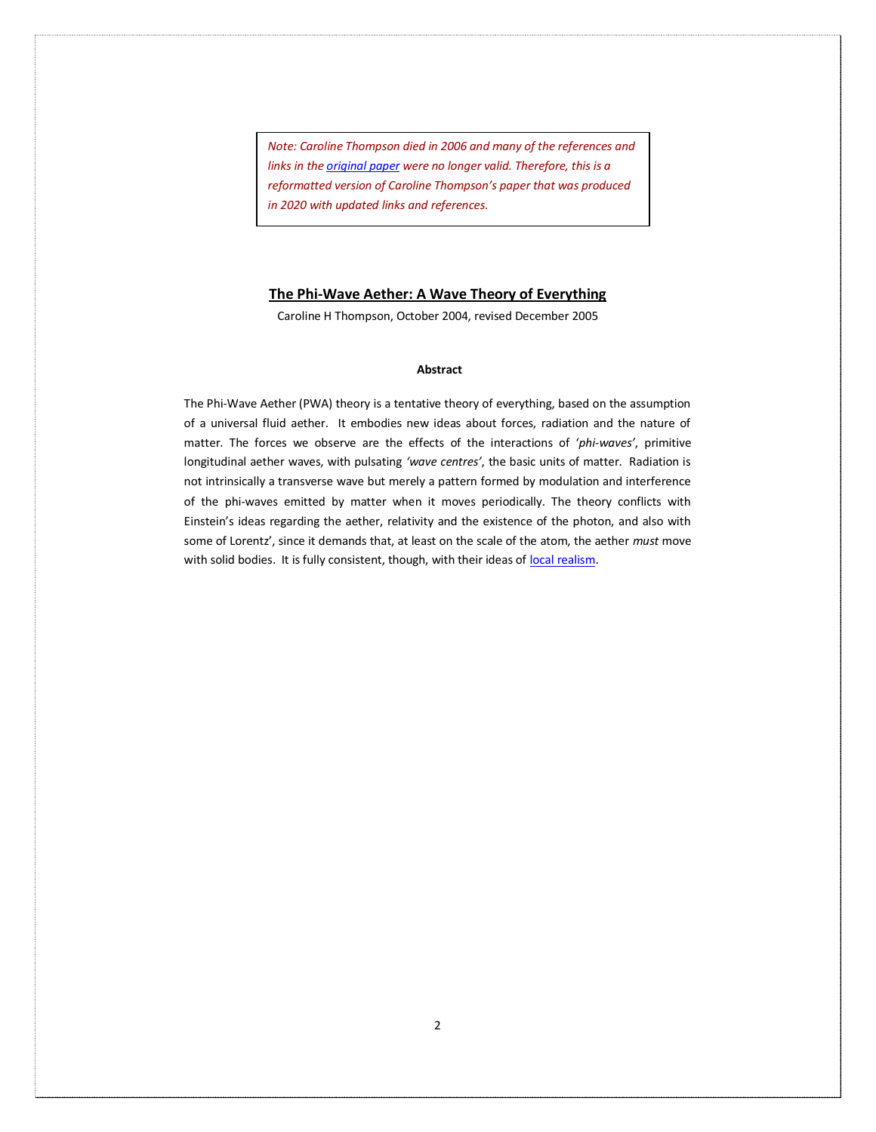*Note: Caroline Thompson died in 2006 and many of the references and links in th[e original paper](http://www.mysearch.org.uk/website3/pdf/676.12.Thompson.pdf) were no longer valid. Therefore, this is a reformatted version of Caroline Thompson's paper that was produced in 2020 with updated links and references.*

### **The Phi-Wave Aether: A Wave Theory of Everything**

Caroline H Thompson, October 2004, revised December 2005

## **Abstract**

The Phi-Wave Aether (PWA) theory is a tentative theory of everything, based on the assumption of a universal fluid aether. It embodies new ideas about forces, radiation and the nature of matter. The forces we observe are the effects of the interactions of '*phi-waves'*, primitive longitudinal aether waves, with pulsating *'wave centres'*, the basic units of matter. Radiation is not intrinsically a transverse wave but merely a pattern formed by modulation and interference of the phi-waves emitted by matter when it moves periodically. The theory conflicts with Einstein's ideas regarding the aether, relativity and the existence of the photon, and also with some of Lorentz', since it demands that, at least on the scale of the atom, the aether *must* move with solid bodies. It is fully consistent, though, with their ideas of [local realism.](https://en.wikipedia.org/wiki/Principle_of_locality)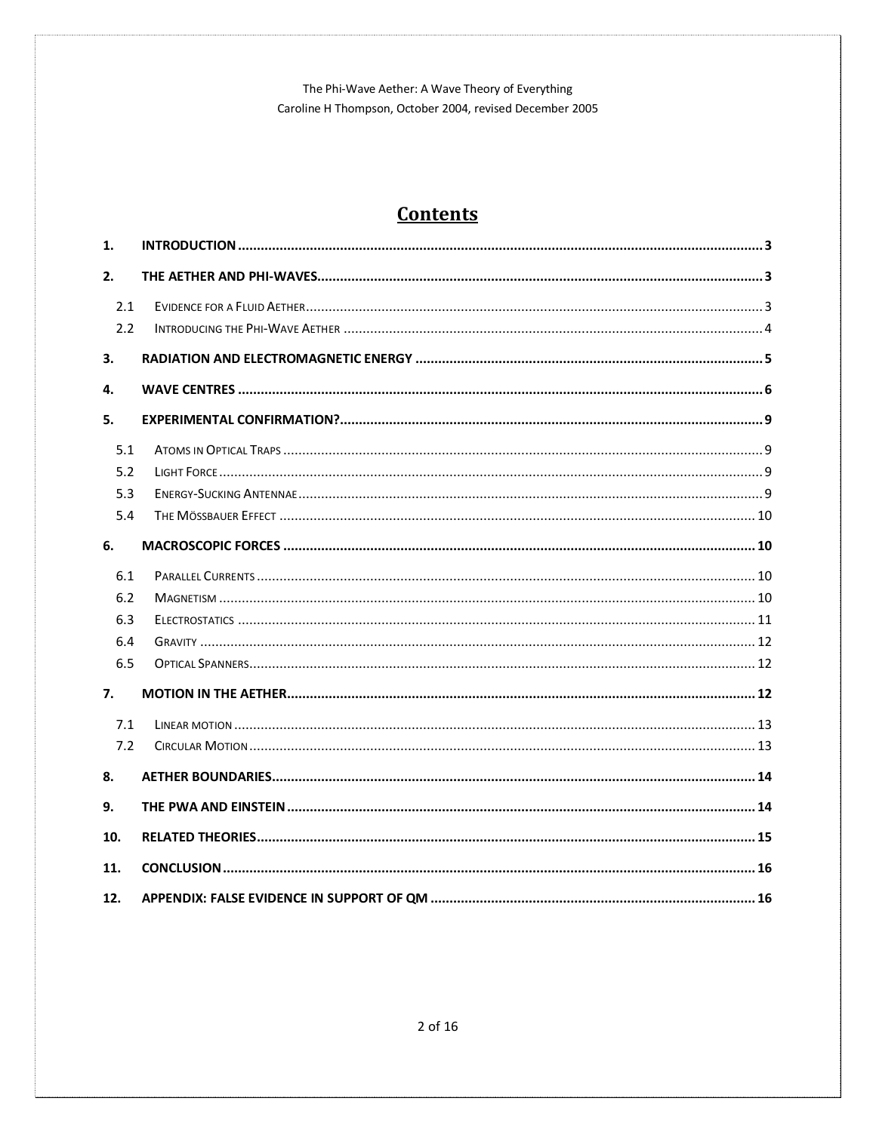# **Contents**

| 1.         |  |
|------------|--|
| 2.         |  |
| 2.1<br>2.2 |  |
|            |  |
| 3.         |  |
| 4.         |  |
| 5.         |  |
| 5.1        |  |
| 5.2        |  |
| 5.3        |  |
| 5.4        |  |
| 6.         |  |
| 6.1        |  |
| 6.2        |  |
| 6.3        |  |
| 6.4        |  |
| 6.5        |  |
| 7.         |  |
| 7.1        |  |
| 7.2        |  |
| 8.         |  |
| 9.         |  |
| 10.        |  |
| 11.        |  |
| 12.        |  |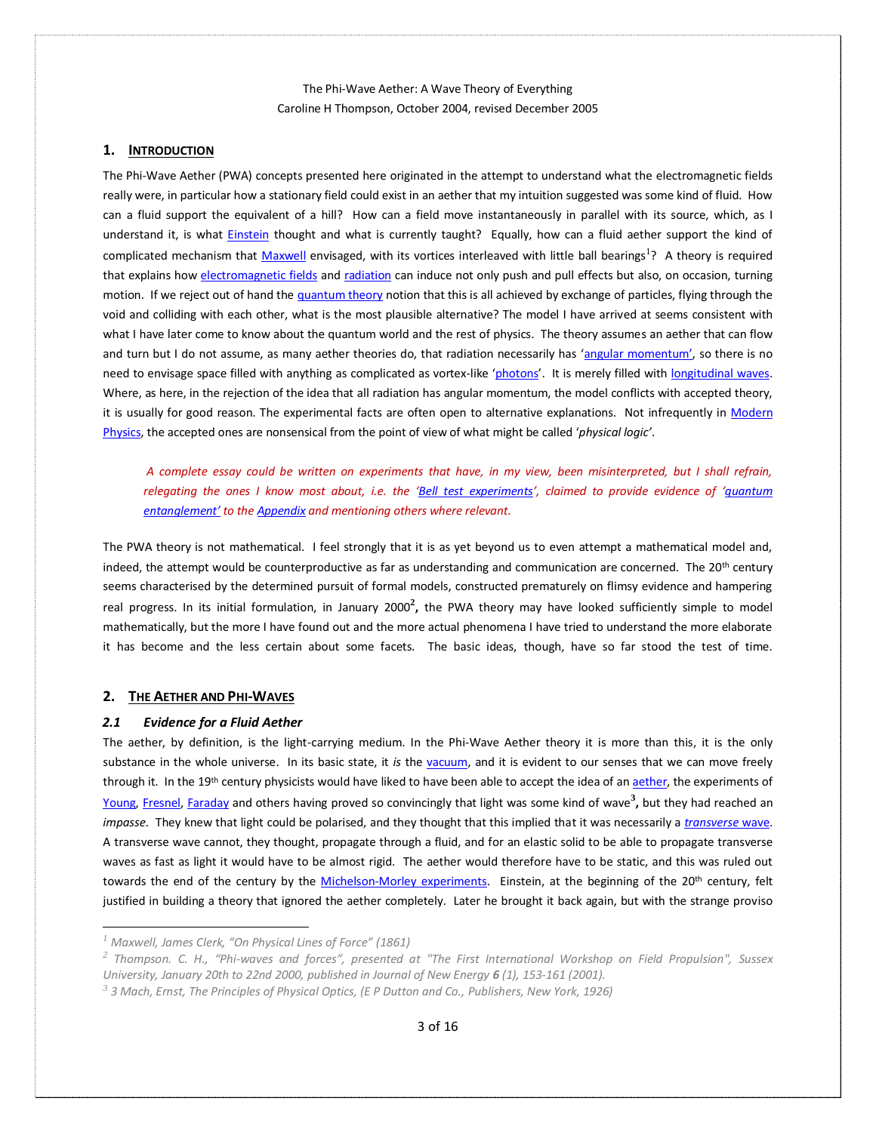## <span id="page-2-0"></span>**1. INTRODUCTION**

The Phi-Wave Aether (PWA) concepts presented here originated in the attempt to understand what the electromagnetic fields really were, in particular how a stationary field could exist in an aether that my intuition suggested was some kind of fluid. How can a fluid support the equivalent of a hill? How can a field move instantaneously in parallel with its source, which, as I understand it, is what **Einstein** thought and what is currently taught? Equally, how can a fluid aether support the kind of complicated mechanism that [Maxwell](https://en.wikipedia.org/wiki/James_Clerk_Maxwell) envisaged, with its vortices interleaved with little ball bearings<sup>1</sup>? A theory is required that explains ho[w electromagnetic fields](https://en.wikipedia.org/wiki/Electromagnetic_field) an[d radiation](https://en.wikipedia.org/wiki/Radiation) can induce not only push and pull effects but also, on occasion, turning motion. If we reject out of hand th[e quantum theory](https://en.wikipedia.org/wiki/Quantum_field_theory) notion that this is all achieved by exchange of particles, flying through the void and colliding with each other, what is the most plausible alternative? The model I have arrived at seems consistent with what I have later come to know about the quantum world and the rest of physics. The theory assumes an aether that can flow and turn but I do not assume, as many aether theories do, that radiation necessarily has '[angular momentum](https://en.wikipedia.org/wiki/Angular_momentum)', so there is no need to envisage space filled with anything as complicated as vortex-like '[photons](https://en.wikipedia.org/wiki/Photon)'. It is merely filled with [longitudinal waves.](https://en.wikipedia.org/wiki/Longitudinal_wave) Where, as here, in the rejection of the idea that all radiation has angular momentum, the model conflicts with accepted theory, it is usually for good reason. The experimental facts are often open to alternative explanations. Not infrequently in Modern [Physics,](https://en.wikipedia.org/wiki/Modern_physics) the accepted ones are nonsensical from the point of view of what might be called '*physical logic'*.

*A complete essay could be written on experiments that have, in my view, been misinterpreted, but I shall refrain, relegating the ones I know most about, i.e. the '[Bell test experiments](https://en.wikipedia.org/wiki/Bell_test_experiments)', claimed to provide evidence of '[quantum](https://en.wikipedia.org/wiki/Quantum_entanglement)  [entanglement](https://en.wikipedia.org/wiki/Quantum_entanglement)' to th[e Appendix](#page-15-1) and mentioning others where relevant.* 

The PWA theory is not mathematical. I feel strongly that it is as yet beyond us to even attempt a mathematical model and, indeed, the attempt would be counterproductive as far as understanding and communication are concerned. The 20<sup>th</sup> century seems characterised by the determined pursuit of formal models, constructed prematurely on flimsy evidence and hampering real progress. In its initial formulation, in January 2000**<sup>2</sup> ,** the PWA theory may have looked sufficiently simple to model mathematically, but the more I have found out and the more actual phenomena I have tried to understand the more elaborate it has become and the less certain about some facets. The basic ideas, though, have so far stood the test of time.

## <span id="page-2-1"></span>**2. THE AETHER AND PHI-WAVES**

## <span id="page-2-2"></span>*2.1 Evidence for a Fluid Aether*

The aether, by definition, is the light-carrying medium. In the Phi-Wave Aether theory it is more than this, it is the only substance in the whole universe. In its basic state, it *is* the [vacuum,](https://en.wikipedia.org/wiki/Vacuum_energy) and it is evident to our senses that we can move freely through it. In the 19<sup>th</sup> century physicists would have liked to have been able to accept the idea of a[n aether,](https://en.wikipedia.org/wiki/Luminiferous_aether) the experiments of [Young,](https://en.wikipedia.org/wiki/Thomas_Young_(scientist)) [Fresnel,](https://en.wikipedia.org/wiki/Augustin-Jean_Fresnel) [Faraday](https://en.wikipedia.org/wiki/Michael_Faraday) and others having proved so convincingly that light was some kind of wave**<sup>3</sup> ,** but they had reached an *impasse*. They knew that light could be polarised, and they thought that this implied that it was necessarily a *[transverse](https://en.wikipedia.org/wiki/Transverse_wave)* wave. A transverse wave cannot, they thought, propagate through a fluid, and for an elastic solid to be able to propagate transverse waves as fast as light it would have to be almost rigid. The aether would therefore have to be static, and this was ruled out towards the end of the century by the [Michelson-Morley experiments.](https://en.wikipedia.org/wiki/Michelson–Morley_experiment) Einstein, at the beginning of the 20<sup>th</sup> century, felt justified in building a theory that ignored the aether completely. Later he brought it back again, but with the strange proviso

*<sup>1</sup> Maxwell, James Clerk, "On Physical Lines of Force" (1861)*

*<sup>2</sup> Thompson. C. H., "Phi-waves and forces", presented at "The First International Workshop on Field Propulsion", Sussex University, January 20th to 22nd 2000, published in Journal of New Energy 6 (1), 153-161 (2001).*

*<sup>3</sup> 3 Mach, Ernst, The Principles of Physical Optics, (E P Dutton and Co., Publishers, New York, 1926)*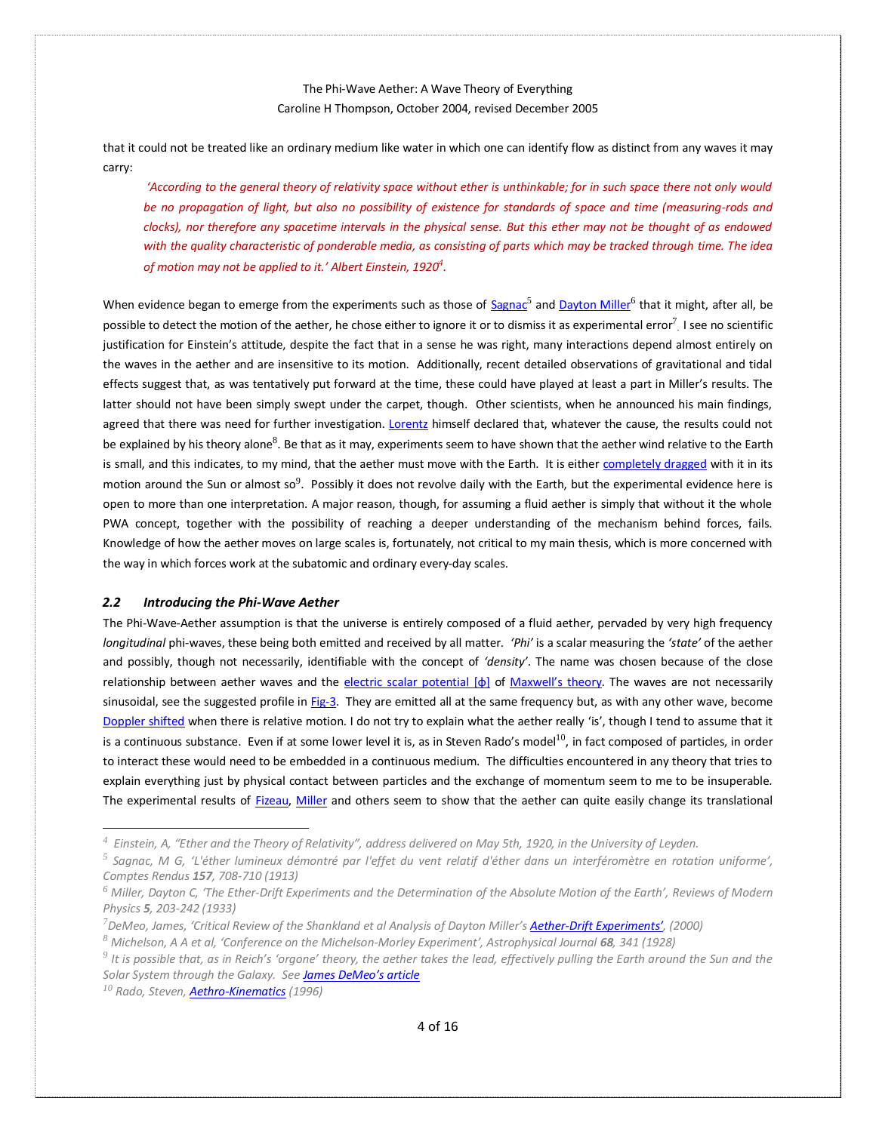that it could not be treated like an ordinary medium like water in which one can identify flow as distinct from any waves it may carry:

*'According to the general theory of relativity space without ether is unthinkable; for in such space there not only would be no propagation of light, but also no possibility of existence for standards of space and time (measuring-rods and clocks), nor therefore any spacetime intervals in the physical sense. But this ether may not be thought of as endowed with the quality characteristic of ponderable media, as consisting of parts which may be tracked through time. The idea of motion may not be applied to it.' Albert Einstein, 1920<sup>4</sup> .* 

When evidence began to emerge from the experiments such as those of [Sagnac](https://en.wikipedia.org/wiki/Georges_Sagnac)<sup>5</sup> an[d Dayton Miller](https://en.wikipedia.org/wiki/Dayton_Miller)<sup>6</sup> that it might, after all, be possible to detect the motion of the aether, he chose either to ignore it or to dismiss it as experimental error<sup>7</sup>. I see no scientific justification for Einstein's attitude, despite the fact that in a sense he was right, many interactions depend almost entirely on the waves in the aether and are insensitive to its motion. Additionally, recent detailed observations of gravitational and tidal effects suggest that, as was tentatively put forward at the time, these could have played at least a part in Miller's results. The latter should not have been simply swept under the carpet, though. Other scientists, when he announced his main findings, agreed that there was need for further investigation[. Lorentz](https://en.wikipedia.org/wiki/Hendrik_Lorentz) himself declared that, whatever the cause, the results could not be explained by his theory alone<sup>8</sup>. Be that as it may, experiments seem to have shown that the aether wind relative to the Earth is small, and this indicates, to my mind, that the aether must move with the Earth. It is eithe[r completely dragged](https://en.wikipedia.org/wiki/Aether_drag_hypothesis) with it in its motion around the Sun or almost so $^9$ . Possibly it does not revolve daily with the Earth, but the experimental evidence here is open to more than one interpretation. A major reason, though, for assuming a fluid aether is simply that without it the whole PWA concept, together with the possibility of reaching a deeper understanding of the mechanism behind forces, fails. Knowledge of how the aether moves on large scales is, fortunately, not critical to my main thesis, which is more concerned with the way in which forces work at the subatomic and ordinary every-day scales.

#### <span id="page-3-0"></span>*2.2 Introducing the Phi-Wave Aether*

The Phi-Wave-Aether assumption is that the universe is entirely composed of a fluid aether, pervaded by very high frequency *longitudinal* phi-waves, these being both emitted and received by all matter. *'Phi'* is a scalar measuring the *'state'* of the aether and possibly, though not necessarily, identifiable with the concept of *'density'*. The name was chosen because of the close relationship between aether waves and the [electric scalar potential](https://en.wikipedia.org/wiki/Electric_potential)  $[\phi]$  of [Maxwell's theory](https://en.wikipedia.org/wiki/Maxwell). The waves are not necessarily sinusoidal, see the suggested profile in [Fig-3.](#page-6-0) They are emitted all at the same frequency but, as with any other wave, become [Doppler shifted](https://en.wikipedia.org/wiki/Doppler_effect) when there is relative motion. I do not try to explain what the aether really 'is', though I tend to assume that it is a continuous substance. Even if at some lower level it is, as in Steven Rado's model<sup>10</sup>, in fact composed of particles, in order to interact these would need to be embedded in a continuous medium. The difficulties encountered in any theory that tries to explain everything just by physical contact between particles and the exchange of momentum seem to me to be insuperable. The experimental results of [Fizeau,](https://en.wikipedia.org/wiki/Hippolyte_Fizeau) [Miller](https://en.wikipedia.org/wiki/Dayton_Miller) and others seem to show that the aether can quite easily change its translational

*<sup>10</sup> Rado, Steven[, Aethro-Kinematics](http://www.aethro-kinematics.com/Evolut_1.html) (1996)*

*<sup>4</sup> Einstein, A, "Ether and the Theory of Relativity", address delivered on May 5th, 1920, in the University of Leyden.*

*<sup>5</sup> Sagnac, M G, 'L'éther lumineux démontré par l'effet du vent relatif d'éther dans un interféromètre en rotation uniforme', Comptes Rendus 157, 708-710 (1913)* 

*<sup>6</sup> Miller, Dayton C, 'The Ether-Drift Experiments and the Determination of the Absolute Motion of the Earth', Reviews of Modern Physics 5, 203-242 (1933)*

*<sup>7</sup>DeMeo, James, 'Critical Review of the Shankland et al Analysis of Dayton Miller's Aether-[Drift Experiments'](http://www.orgonelab.org/miller.htm), (2000)* 

*<sup>8</sup> Michelson, A A et al, 'Conference on the Michelson-Morley Experiment', Astrophysical Journal 68, 341 (1928)* 

*<sup>9</sup> It is possible that, as in Reich's 'orgone' theory, the aether takes the lead, effectively pulling the Earth around the Sun and the Solar System through the Galaxy. See [James DeMeo's article](http://www.orgonelab.org/MillerReich.htm)*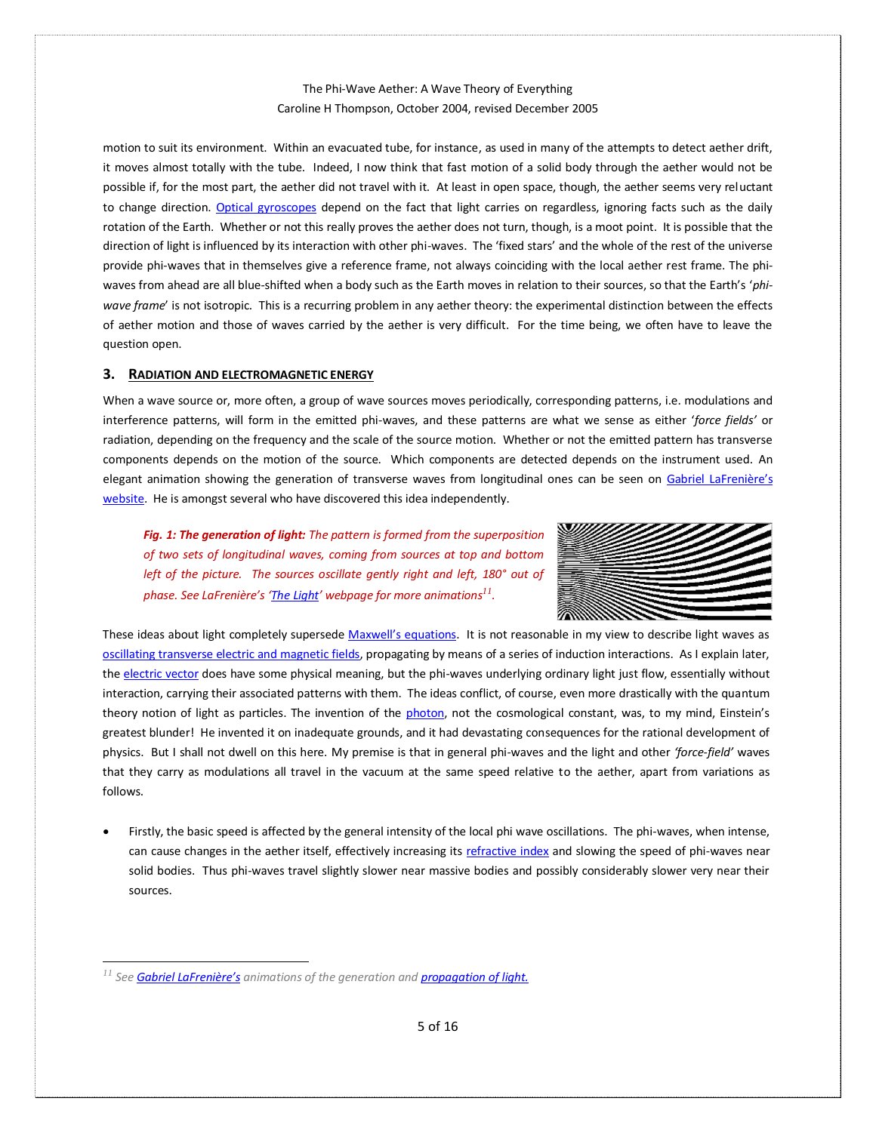motion to suit its environment. Within an evacuated tube, for instance, as used in many of the attempts to detect aether drift, it moves almost totally with the tube. Indeed, I now think that fast motion of a solid body through the aether would not be possible if, for the most part, the aether did not travel with it. At least in open space, though, the aether seems very reluctant to change direction. [Optical gyroscopes](https://en.wikipedia.org/wiki/Fibre-optic_gyroscope) depend on the fact that light carries on regardless, ignoring facts such as the daily rotation of the Earth. Whether or not this really proves the aether does not turn, though, is a moot point. It is possible that the direction of light is influenced by its interaction with other phi-waves. The 'fixed stars' and the whole of the rest of the universe provide phi-waves that in themselves give a reference frame, not always coinciding with the local aether rest frame. The phiwaves from ahead are all blue-shifted when a body such as the Earth moves in relation to their sources, so that the Earth's '*phiwave frame*' is not isotropic. This is a recurring problem in any aether theory: the experimental distinction between the effects of aether motion and those of waves carried by the aether is very difficult. For the time being, we often have to leave the question open.

### <span id="page-4-0"></span>**3. RADIATION AND ELECTROMAGNETIC ENERGY**

When a wave source or, more often, a group of wave sources moves periodically, corresponding patterns, i.e. modulations and interference patterns, will form in the emitted phi-waves, and these patterns are what we sense as either '*force fields'* or radiation, depending on the frequency and the scale of the source motion. Whether or not the emitted pattern has transverse components depends on the motion of the source. Which components are detected depends on the instrument used. An elegant animation showing the generation of transverse waves from longitudinal ones can be seen on [Gabriel LaFrenière's](http://www.mysearch.org.uk/websiteX/Index.htm)  [website.](http://www.mysearch.org.uk/websiteX/Index.htm) He is amongst several who have discovered this idea independently.

*Fig. 1: The generation of light: The pattern is formed from the superposition of two sets of longitudinal waves, coming from sources at top and bottom left of the picture. The sources oscillate gently right and left, 180° out of phase. See LaFrenière's '[The Light](http://www.mysearch.org.uk/websiteX/html/22%20The%20Light.htm)' webpage for more animations 11 .*



These ideas about light completely supersede Maxwell's [equations.](https://en.wikipedia.org/wiki/Maxwell) It is not reasonable in my view to describe light waves as [oscillating transverse electric and magnetic fields,](https://en.wikipedia.org/wiki/Electromagnetic_radiation) propagating by means of a series of induction interactions. As I explain later, th[e electric vector](https://en.wikipedia.org/wiki/Electric_field) does have some physical meaning, but the phi-waves underlying ordinary light just flow, essentially without interaction, carrying their associated patterns with them. The ideas conflict, of course, even more drastically with the quantum theory notion of light as particles. The invention of the [photon](https://en.wikipedia.org/wiki/Photon), not the cosmological constant, was, to my mind, Einstein's greatest blunder! He invented it on inadequate grounds, and it had devastating consequences for the rational development of physics. But I shall not dwell on this here. My premise is that in general phi-waves and the light and other *'force-field'* waves that they carry as modulations all travel in the vacuum at the same speed relative to the aether, apart from variations as follows.

• Firstly, the basic speed is affected by the general intensity of the local phi wave oscillations. The phi-waves, when intense, can cause changes in the aether itself, effectively increasing it[s refractive index](https://en.wikipedia.org/wiki/Refractive_index) and slowing the speed of phi-waves near solid bodies. Thus phi-waves travel slightly slower near massive bodies and possibly considerably slower very near their sources.

*<sup>11</sup> See [Gabriel LaFrenière's](http://www.mysearch.org.uk/website3/html/3.Sources.html#Gabriel_LaFreniere_(1995)) animations of the generation an[d propagation of light.](http://www.mysearch.org.uk/websiteX/html/22%20The%20Light.htm)*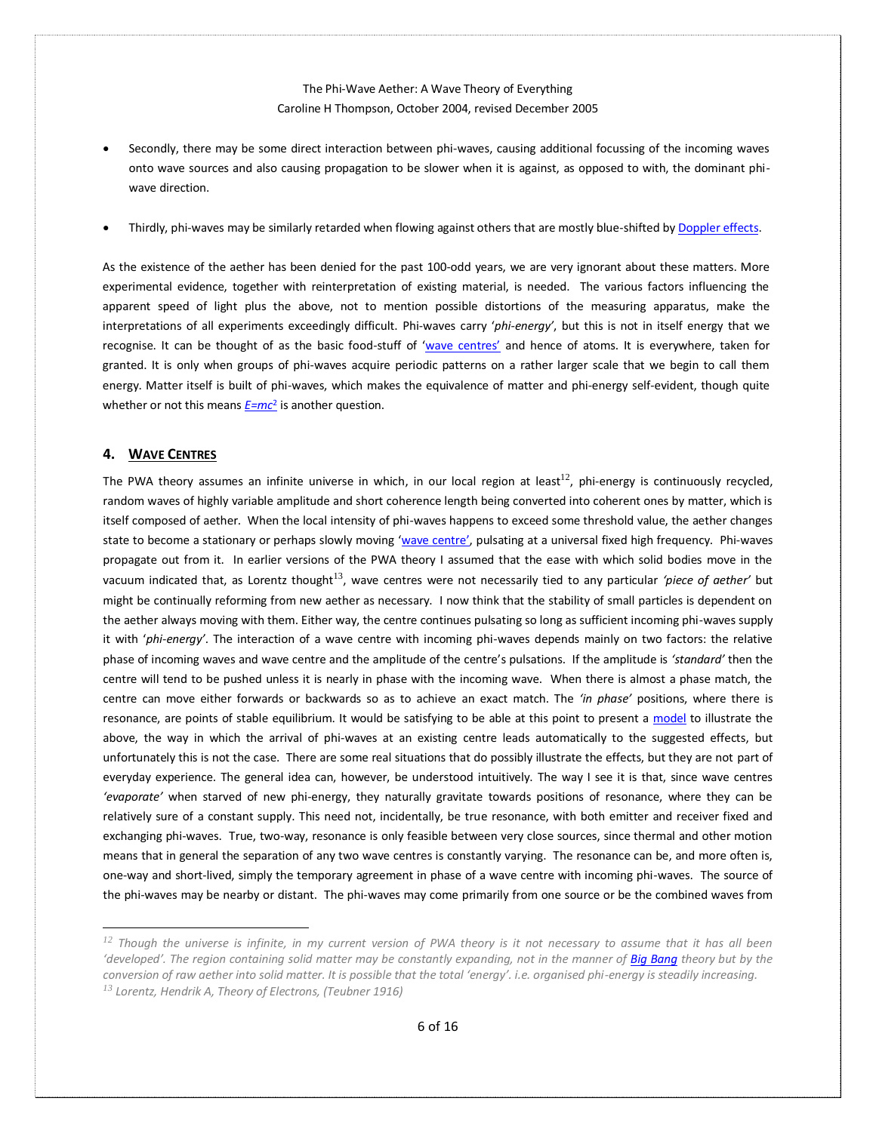- Secondly, there may be some direct interaction between phi-waves, causing additional focussing of the incoming waves onto wave sources and also causing propagation to be slower when it is against, as opposed to with, the dominant phiwave direction.
- Thirdly, phi-waves may be similarly retarded when flowing against others that are mostly blue-shifted b[y Doppler effects.](https://en.wikipedia.org/wiki/Doppler_effect)

As the existence of the aether has been denied for the past 100-odd years, we are very ignorant about these matters. More experimental evidence, together with reinterpretation of existing material, is needed. The various factors influencing the apparent speed of light plus the above, not to mention possible distortions of the measuring apparatus, make the interpretations of all experiments exceedingly difficult. Phi-waves carry '*phi-energy'*, but this is not in itself energy that we recognise. It can be thought of as the basic food-stuff of '[wave centres](#page-5-0)' and hence of atoms. It is everywhere, taken for granted. It is only when groups of phi-waves acquire periodic patterns on a rather larger scale that we begin to call them energy. Matter itself is built of phi-waves, which makes the equivalence of matter and phi-energy self-evident, though quite whether or not this means *[E=mc](https://en.wikipedia.org/wiki/Mass–energy_equivalence)*<sup>2</sup> is another question.

## <span id="page-5-0"></span>**4. WAVE CENTRES**

The PWA theory assumes an infinite universe in which, in our local region at least<sup>12</sup>, phi-energy is continuously recycled, random waves of highly variable amplitude and short coherence length being converted into coherent ones by matter, which is itself composed of aether. When the local intensity of phi-waves happens to exceed some threshold value, the aether changes state to become a stationary or perhaps slowly moving '[wave centre](http://www.mysearch.org.uk/websiteX/html/1%20Matter%20is%20made%20of%20waves.htm)', pulsating at a universal fixed high frequency. Phi-waves propagate out from it. In earlier versions of the PWA theory I assumed that the ease with which solid bodies move in the vacuum indicated that, as Lorentz thought<sup>13</sup>, wave centres were not necessarily tied to any particular *'piece of aether'* but might be continually reforming from new aether as necessary. I now think that the stability of small particles is dependent on the aether always moving with them. Either way, the centre continues pulsating so long as sufficient incoming phi-waves supply it with '*phi-energy'*. The interaction of a wave centre with incoming phi-waves depends mainly on two factors: the relative phase of incoming waves and wave centre and the amplitude of the centre's pulsations. If the amplitude is *'standard'* then the centre will tend to be pushed unless it is nearly in phase with the incoming wave. When there is almost a phase match, the centre can move either forwards or backwards so as to achieve an exact match. The *'in phase'* positions, where there is resonance, are points of stable equilibrium. It would be satisfying to be able at this point to present a [model](http://www.mysearch.org.uk/websiteX/html/12%20The%20Electron%20Phase%20Shift.htm) to illustrate the above, the way in which the arrival of phi-waves at an existing centre leads automatically to the suggested effects, but unfortunately this is not the case. There are some real situations that do possibly illustrate the effects, but they are not part of everyday experience. The general idea can, however, be understood intuitively. The way I see it is that, since wave centres *'evaporate'* when starved of new phi-energy, they naturally gravitate towards positions of resonance, where they can be relatively sure of a constant supply. This need not, incidentally, be true resonance, with both emitter and receiver fixed and exchanging phi-waves. True, two-way, resonance is only feasible between very close sources, since thermal and other motion means that in general the separation of any two wave centres is constantly varying. The resonance can be, and more often is, one-way and short-lived, simply the temporary agreement in phase of a wave centre with incoming phi-waves. The source of the phi-waves may be nearby or distant. The phi-waves may come primarily from one source or be the combined waves from

*<sup>12</sup> Though the universe is infinite, in my current version of PWA theory is it not necessary to assume that it has all been 'developed'. The region containing solid matter may be constantly expanding, not in the manner o[f Big Bang](https://en.wikipedia.org/wiki/Big_Bang) theory but by the conversion of raw aether into solid matter. It is possible that the total 'energy'. i.e. organised phi-energy is steadily increasing. <sup>13</sup> Lorentz, Hendrik A, Theory of Electrons, (Teubner 1916)*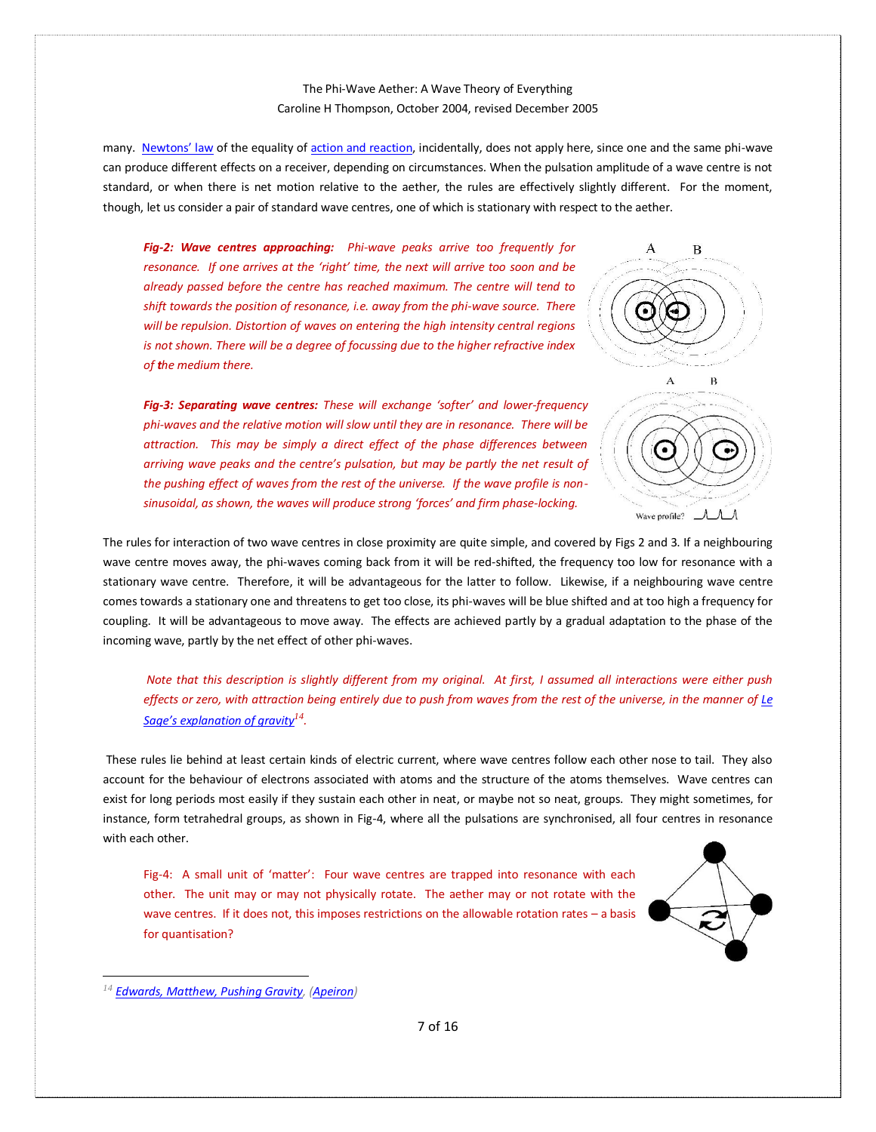many. [Newtons' law](https://en.wikipedia.org/wiki/Newton) of the equality of [action and reaction,](http://www.mysearch.org.uk/websiteX/html/16%20Active%20and%20reactive%20mass.htm) incidentally, does not apply here, since one and the same phi-wave can produce different effects on a receiver, depending on circumstances. When the pulsation amplitude of a wave centre is not standard, or when there is net motion relative to the aether, the rules are effectively slightly different. For the moment, though, let us consider a pair of standard wave centres, one of which is stationary with respect to the aether.

*Fig-2: Wave centres approaching: Phi-wave peaks arrive too frequently for resonance. If one arrives at the 'right' time, the next will arrive too soon and be already passed before the centre has reached maximum. The centre will tend to shift towards the position of resonance, i.e. away from the phi-wave source. There will be repulsion. Distortion of waves on entering the high intensity central regions is not shown. There will be a degree of focussing due to the higher refractive index of the medium there.*

<span id="page-6-0"></span>*Fig-3: Separating wave centres: These will exchange 'softer' and lower-frequency phi-waves and the relative motion will slow until they are in resonance. There will be attraction. This may be simply a direct effect of the phase differences between arriving wave peaks and the centre's pulsation, but may be partly the net result of the pushing effect of waves from the rest of the universe. If the wave profile is nonsinusoidal, as shown, the waves will produce strong 'forces' and firm phase-locking.* 



The rules for interaction of two wave centres in close proximity are quite simple, and covered by Figs 2 and 3. If a neighbouring wave centre moves away, the phi-waves coming back from it will be red-shifted, the frequency too low for resonance with a stationary wave centre. Therefore, it will be advantageous for the latter to follow. Likewise, if a neighbouring wave centre comes towards a stationary one and threatens to get too close, its phi-waves will be blue shifted and at too high a frequency for coupling. It will be advantageous to move away. The effects are achieved partly by a gradual adaptation to the phase of the incoming wave, partly by the net effect of other phi-waves.

*Note that this description is slightly different from my original. At first, I assumed all interactions were either push effects or zero, with attraction being entirely due to push from waves from the rest of the universe, in the manner of [Le](https://en.wikipedia.org/wiki/Le_Sage)  Sage's e[xplanation of gravity](https://en.wikipedia.org/wiki/Le_Sage)<sup>14</sup> .*

These rules lie behind at least certain kinds of electric current, where wave centres follow each other nose to tail. They also account for the behaviour of electrons associated with atoms and the structure of the atoms themselves. Wave centres can exist for long periods most easily if they sustain each other in neat, or maybe not so neat, groups. They might sometimes, for instance, form tetrahedral groups, as shown in Fig-4, where all the pulsations are synchronised, all four centres in resonance with each other.

<span id="page-6-1"></span>Fig-4: A small unit of 'matter': Four wave centres are trapped into resonance with each other. The unit may or may not physically rotate. The aether may or not rotate with the wave centres. If it does not, this imposes restrictions on the allowable rotation rates – a basis for quantisation?



*<sup>14</sup> [Edwards, Matthew, Pushing Gravity,](https://www.amazon.com/Pushing-Gravity-Perspectives-Theory-Gravitation/dp/0968368972) [\(Apeiron\)](http://redshift.vif.com/Apeiron_Home.htm)*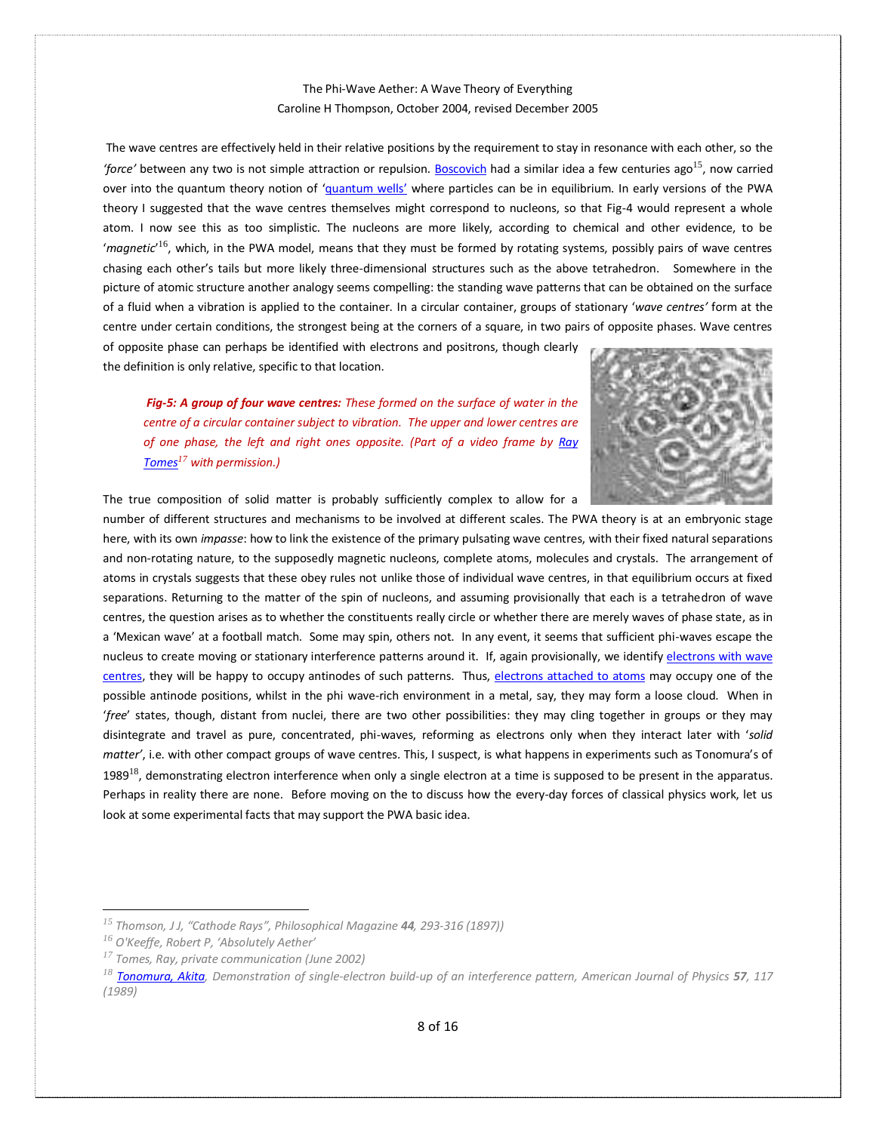The wave centres are effectively held in their relative positions by the requirement to stay in resonance with each other, so the *'force'* between any two is not simple attraction or repulsion[. Boscovich](https://en.wikipedia.org/wiki/Roger_Joseph_Boscovich) had a similar idea a few centuries ago15, now carried over into the quantum theory notion of '[quantum wells](https://en.wikipedia.org/wiki/Quantum_well)' where particles can be in equilibrium. In early versions of the PWA theory I suggested that the wave centres themselves might correspond to nucleons, so that Fig-4 would represent a whole atom. I now see this as too simplistic. The nucleons are more likely, according to chemical and other evidence, to be '*magnetic*' <sup>16</sup>, which, in the PWA model, means that they must be formed by rotating systems, possibly pairs of wave centres chasing each other's tails but more likely three-dimensional structures such as the above tetrahedron. Somewhere in the picture of atomic structure another analogy seems compelling: the standing wave patterns that can be obtained on the surface of a fluid when a vibration is applied to the container. In a circular container, groups of stationary '*wave centres'* form at the centre under certain conditions, the strongest being at the corners of a square, in two pairs of opposite phases. Wave centres of opposite phase can perhaps be identified with electrons and positrons, though clearly

the definition is only relative, specific to that location.

*Fig-5: A group of four wave centres: These formed on the surface of water in the centre of a circular container subject to vibration. The upper and lower centres are of one phase, the left and right ones opposite. (Part of a video frame by [Ray](http://ray.tomes.biz/index.htm)  [Tomes](http://ray.tomes.biz/index.htm)<sup>17</sup> with permission.)*



The true composition of solid matter is probably sufficiently complex to allow for a

number of different structures and mechanisms to be involved at different scales. The PWA theory is at an embryonic stage here, with its own *impasse*: how to link the existence of the primary pulsating wave centres, with their fixed natural separations and non-rotating nature, to the supposedly magnetic nucleons, complete atoms, molecules and crystals. The arrangement of atoms in crystals suggests that these obey rules not unlike those of individual wave centres, in that equilibrium occurs at fixed separations. Returning to the matter of the spin of nucleons, and assuming provisionally that each is a tetrahedron of wave centres, the question arises as to whether the constituents really circle or whether there are merely waves of phase state, as in a 'Mexican wave' at a football match. Some may spin, others not. In any event, it seems that sufficient phi-waves escape the nucleus to create moving or stationary interference patterns around it. If, again provisionally, we identify electrons with wave [centres,](http://www.mysearch.org.uk/websiteX/html/2%20The%20Electron.htm) they will be happy to occupy antinodes of such patterns. Thus, [electrons attached to atoms](http://www.mysearch.org.uk/websiteX/html/25%20The%20Atom.htm) may occupy one of the possible antinode positions, whilst in the phi wave-rich environment in a metal, say, they may form a loose cloud. When in '*free*' states, though, distant from nuclei, there are two other possibilities: they may cling together in groups or they may disintegrate and travel as pure, concentrated, phi-waves, reforming as electrons only when they interact later with '*solid matter'*, i.e. with other compact groups of wave centres. This, I suspect, is what happens in experiments such as Tonomura's of 1989<sup>18</sup>, demonstrating electron interference when only a single electron at a time is supposed to be present in the apparatus. Perhaps in reality there are none. Before moving on the to discuss how the every-day forces of classical physics work, let us look at some experimental facts that may support the PWA basic idea.

*<sup>15</sup> Thomson, J J, "Cathode Rays", Philosophical Magazine 44, 293-316 (1897))*

*<sup>16</sup> O'Keeffe, Robert P, 'Absolutely Aether'*

*<sup>17</sup> Tomes, Ray, private communication (June 2002)* 

*<sup>18</sup> [Tonomura, Akita,](https://en.wikipedia.org/wiki/Akira_Tonomura) Demonstration of single-electron build-up of an interference pattern, American Journal of Physics 57, 117 (1989)*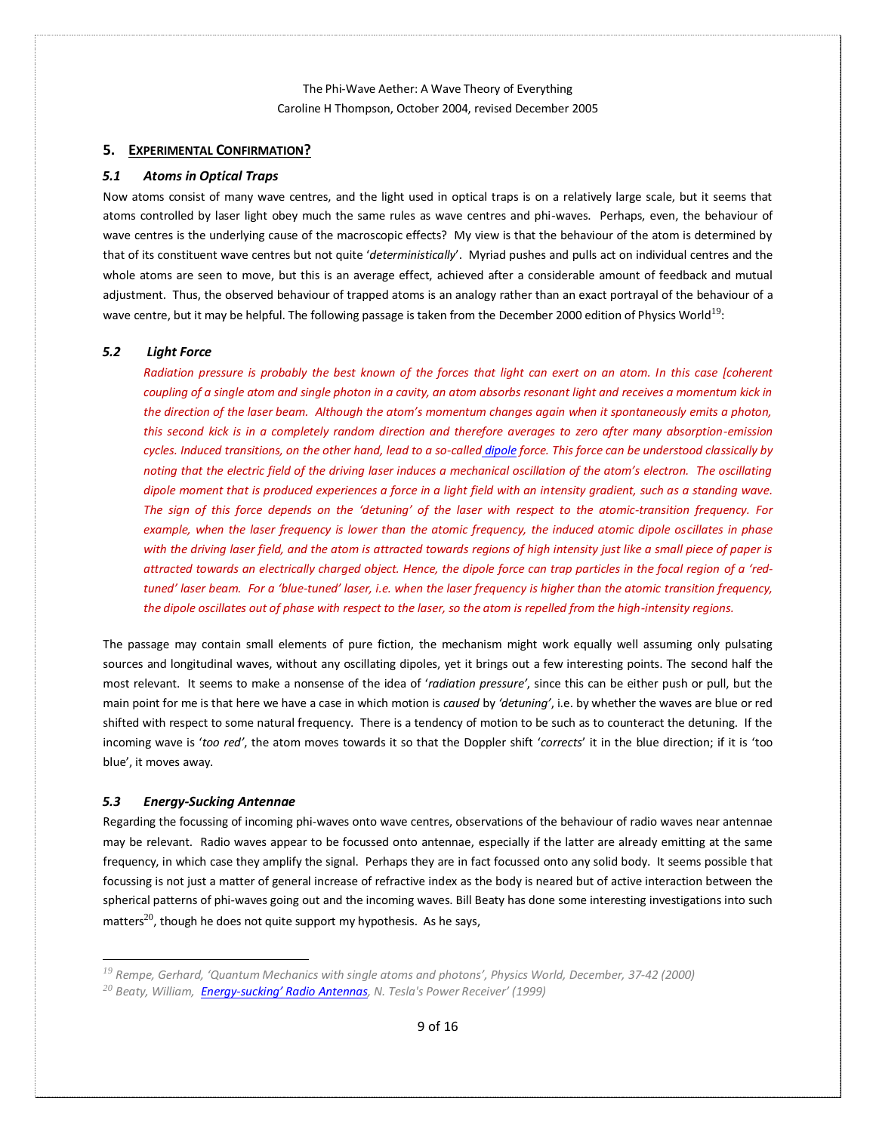## <span id="page-8-0"></span>**5. EXPERIMENTAL CONFIRMATION?**

#### <span id="page-8-1"></span>*5.1 Atoms in Optical Traps*

Now atoms consist of many wave centres, and the light used in optical traps is on a relatively large scale, but it seems that atoms controlled by laser light obey much the same rules as wave centres and phi-waves. Perhaps, even, the behaviour of wave centres is the underlying cause of the macroscopic effects? My view is that the behaviour of the atom is determined by that of its constituent wave centres but not quite '*deterministically*'. Myriad pushes and pulls act on individual centres and the whole atoms are seen to move, but this is an average effect, achieved after a considerable amount of feedback and mutual adjustment. Thus, the observed behaviour of trapped atoms is an analogy rather than an exact portrayal of the behaviour of a wave centre, but it may be helpful. The following passage is taken from the December 2000 edition of Physics World<sup>19</sup>:

## *5.2 Light Force*

<span id="page-8-2"></span>*Radiation pressure is probably the best known of the forces that light can exert on an atom. In this case [coherent coupling of a single atom and single photon in a cavity, an atom absorbs resonant light and receives a momentum kick in the direction of the laser beam. Although the atom's momentum changes again when it spontaneously emits a photon, this second kick is in a completely random direction and therefore averages to zero after many absorption-emission cycles. Induced transitions, on the other hand, lead to a so-called [dipole](https://en.wikipedia.org/wiki/Dipole) force. This force can be understood classically by noting that the electric field of the driving laser induces a mechanical oscillation of the atom's electron. The oscillating dipole moment that is produced experiences a force in a light field with an intensity gradient, such as a standing wave. The sign of this force depends on the 'detuning' of the laser with respect to the atomic-transition frequency. For example, when the laser frequency is lower than the atomic frequency, the induced atomic dipole oscillates in phase with the driving laser field, and the atom is attracted towards regions of high intensity just like a small piece of paper is attracted towards an electrically charged object. Hence, the dipole force can trap particles in the focal region of a 'redtuned' laser beam. For a 'blue-tuned' laser, i.e. when the laser frequency is higher than the atomic transition frequency, the dipole oscillates out of phase with respect to the laser, so the atom is repelled from the high-intensity regions.* 

The passage may contain small elements of pure fiction, the mechanism might work equally well assuming only pulsating sources and longitudinal waves, without any oscillating dipoles, yet it brings out a few interesting points. The second half the most relevant. It seems to make a nonsense of the idea of '*radiation pressure'*, since this can be either push or pull, but the main point for me is that here we have a case in which motion is *caused* by *'detuning'*, i.e. by whether the waves are blue or red shifted with respect to some natural frequency. There is a tendency of motion to be such as to counteract the detuning. If the incoming wave is '*too red'*, the atom moves towards it so that the Doppler shift '*corrects*' it in the blue direction; if it is 'too blue', it moves away.

### <span id="page-8-3"></span>*5.3 Energy-Sucking Antennae*

Regarding the focussing of incoming phi-waves onto wave centres, observations of the behaviour of radio waves near antennae may be relevant. Radio waves appear to be focussed onto antennae, especially if the latter are already emitting at the same frequency, in which case they amplify the signal. Perhaps they are in fact focussed onto any solid body. It seems possible that focussing is not just a matter of general increase of refractive index as the body is neared but of active interaction between the spherical patterns of phi-waves going out and the incoming waves. Bill Beaty has done some interesting investigations into such matters $^{20}$ , though he does not quite support my hypothesis. As he says,

*<sup>19</sup> Rempe, Gerhard, 'Quantum Mechanics with single atoms and photons', Physics World, December, 37-42 (2000)* 

*<sup>20</sup> Beaty, William, Energy-[sucking' Radio Antennas](http://www.amasci.com/tesla/tesceive.html), N. Tesla's Power Receiver' (1999)*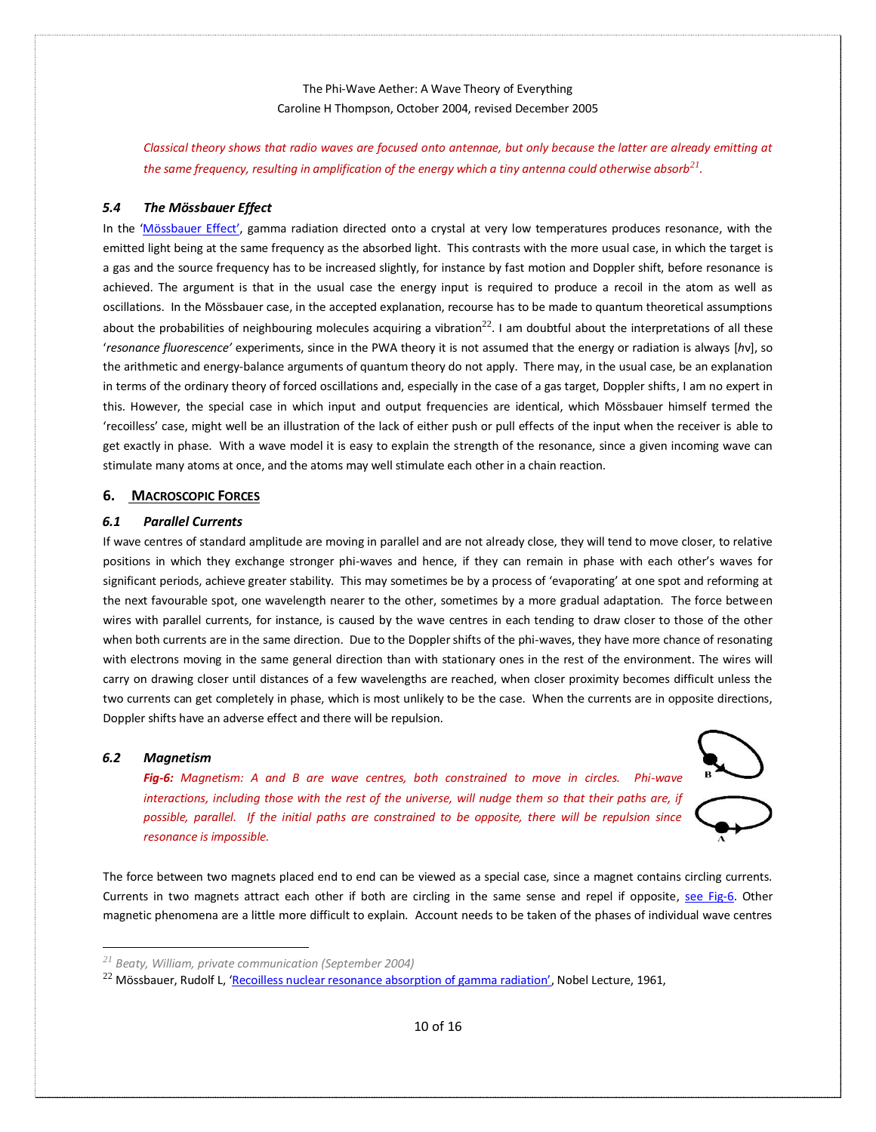*Classical theory shows that radio waves are focused onto antennae, but only because the latter are already emitting at the same frequency, resulting in amplification of the energy which a tiny antenna could otherwise absorb<sup>21</sup> .* 

### <span id="page-9-0"></span>*5.4 The Mössbauer Effect*

In the '[Mössbauer](https://en.wikipedia.org/wiki/Mössbauer_effect) Effect', gamma radiation directed onto a crystal at very low temperatures produces resonance, with the emitted light being at the same frequency as the absorbed light. This contrasts with the more usual case, in which the target is a gas and the source frequency has to be increased slightly, for instance by fast motion and Doppler shift, before resonance is achieved. The argument is that in the usual case the energy input is required to produce a recoil in the atom as well as oscillations. In the Mössbauer case, in the accepted explanation, recourse has to be made to quantum theoretical assumptions about the probabilities of neighbouring molecules acquiring a vibration<sup>22</sup>. I am doubtful about the interpretations of all these '*resonance fluorescence'* experiments, since in the PWA theory it is not assumed that the energy or radiation is always [*h*ν], so the arithmetic and energy-balance arguments of quantum theory do not apply. There may, in the usual case, be an explanation in terms of the ordinary theory of forced oscillations and, especially in the case of a gas target, Doppler shifts, I am no expert in this. However, the special case in which input and output frequencies are identical, which Mössbauer himself termed the 'recoilless' case, might well be an illustration of the lack of either push or pull effects of the input when the receiver is able to get exactly in phase. With a wave model it is easy to explain the strength of the resonance, since a given incoming wave can stimulate many atoms at once, and the atoms may well stimulate each other in a chain reaction.

## <span id="page-9-1"></span>**6. MACROSCOPIC FORCES**

## <span id="page-9-2"></span>*6.1 Parallel Currents*

If wave centres of standard amplitude are moving in parallel and are not already close, they will tend to move closer, to relative positions in which they exchange stronger phi-waves and hence, if they can remain in phase with each other's waves for significant periods, achieve greater stability. This may sometimes be by a process of 'evaporating' at one spot and reforming at the next favourable spot, one wavelength nearer to the other, sometimes by a more gradual adaptation. The force between wires with parallel currents, for instance, is caused by the wave centres in each tending to draw closer to those of the other when both currents are in the same direction. Due to the Doppler shifts of the phi-waves, they have more chance of resonating with electrons moving in the same general direction than with stationary ones in the rest of the environment. The wires will carry on drawing closer until distances of a few wavelengths are reached, when closer proximity becomes difficult unless the two currents can get completely in phase, which is most unlikely to be the case. When the currents are in opposite directions, Doppler shifts have an adverse effect and there will be repulsion.

#### <span id="page-9-4"></span><span id="page-9-3"></span>*6.2 Magnetism*

*Fig-6: Magnetism: A and B are wave centres, both constrained to move in circles. Phi-wave interactions, including those with the rest of the universe, will nudge them so that their paths are, if possible, parallel. If the initial paths are constrained to be opposite, there will be repulsion since resonance is impossible.* 



The force between two magnets placed end to end can be viewed as a special case, since a magnet contains circling currents. Currents in two magnets attract each other if both are circling in the same sense and repel if opposite, [see Fig-6.](#page-9-4) Other magnetic phenomena are a little more difficult to explain. Account needs to be taken of the phases of individual wave centres

*<sup>21</sup> Beaty, William, private communication (September 2004)* 

<sup>&</sup>lt;sup>22</sup> Mössbauer, Rudolf L, ['Recoilless nuclear resonance absorption of gamma radiation'](https://www.nobelprize.org/prizes/physics/1961/mossbauer/lecture/), Nobel Lecture, 1961,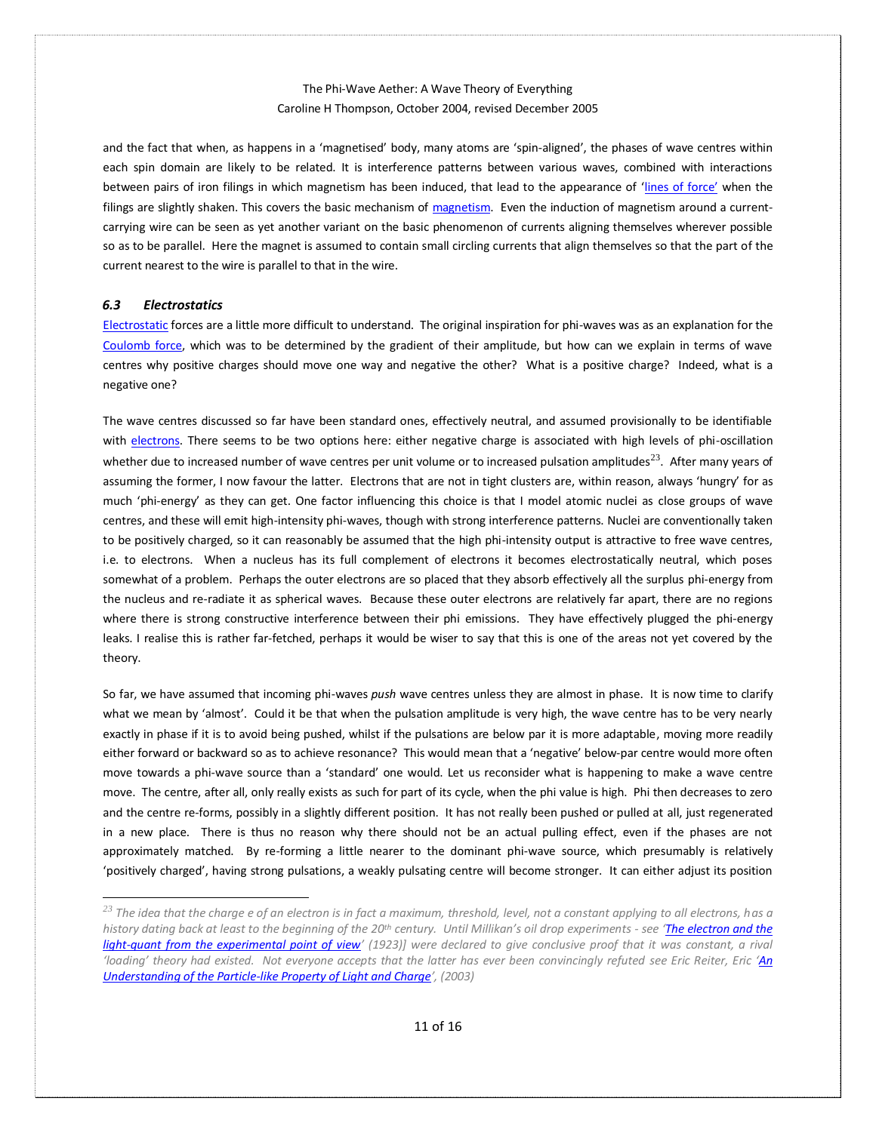and the fact that when, as happens in a 'magnetised' body, many atoms are 'spin-aligned', the phases of wave centres within each spin domain are likely to be related. It is interference patterns between various waves, combined with interactions between pairs of iron filings in which magnetism has been induced, that lead to the appearance of '[lines of force](https://en.wikipedia.org/wiki/Line_of_force)' when the filings are slightly shaken. This covers the basic mechanism of [magnetism.](https://en.wikipedia.org/wiki/Magnetism) Even the induction of magnetism around a currentcarrying wire can be seen as yet another variant on the basic phenomenon of currents aligning themselves wherever possible so as to be parallel. Here the magnet is assumed to contain small circling currents that align themselves so that the part of the current nearest to the wire is parallel to that in the wire.

## <span id="page-10-0"></span>*6.3 Electrostatics*

[Electrostatic](https://en.wikipedia.org/wiki/Electrostatics) forces are a little more difficult to understand. The original inspiration for phi-waves was as an explanation for the [Coulomb force,](https://en.wikipedia.org/wiki/Coulomb) which was to be determined by the gradient of their amplitude, but how can we explain in terms of wave centres why positive charges should move one way and negative the other? What is a positive charge? Indeed, what is a negative one?

The wave centres discussed so far have been standard ones, effectively neutral, and assumed provisionally to be identifiable with [electrons.](http://www.mysearch.org.uk/websiteX/html/2%20The%20Electron.htm) There seems to be two options here: either negative charge is associated with high levels of phi-oscillation whether due to increased number of wave centres per unit volume or to increased pulsation amplitudes<sup>23</sup>. After many years of assuming the former, I now favour the latter. Electrons that are not in tight clusters are, within reason, always 'hungry' for as much 'phi-energy' as they can get. One factor influencing this choice is that I model atomic nuclei as close groups of wave centres, and these will emit high-intensity phi-waves, though with strong interference patterns. Nuclei are conventionally taken to be positively charged, so it can reasonably be assumed that the high phi-intensity output is attractive to free wave centres, i.e. to electrons. When a nucleus has its full complement of electrons it becomes electrostatically neutral, which poses somewhat of a problem. Perhaps the outer electrons are so placed that they absorb effectively all the surplus phi-energy from the nucleus and re-radiate it as spherical waves. Because these outer electrons are relatively far apart, there are no regions where there is strong constructive interference between their phi emissions. They have effectively plugged the phi-energy leaks. I realise this is rather far-fetched, perhaps it would be wiser to say that this is one of the areas not yet covered by the theory.

So far, we have assumed that incoming phi-waves *push* wave centres unless they are almost in phase. It is now time to clarify what we mean by 'almost'. Could it be that when the pulsation amplitude is very high, the wave centre has to be very nearly exactly in phase if it is to avoid being pushed, whilst if the pulsations are below par it is more adaptable, moving more readily either forward or backward so as to achieve resonance? This would mean that a 'negative' below-par centre would more often move towards a phi-wave source than a 'standard' one would. Let us reconsider what is happening to make a wave centre move. The centre, after all, only really exists as such for part of its cycle, when the phi value is high. Phi then decreases to zero and the centre re-forms, possibly in a slightly different position. It has not really been pushed or pulled at all, just regenerated in a new place. There is thus no reason why there should not be an actual pulling effect, even if the phases are not approximately matched. By re-forming a little nearer to the dominant phi-wave source, which presumably is relatively 'positively charged', having strong pulsations, a weakly pulsating centre will become stronger. It can either adjust its position

*<sup>23</sup> The idea that the charge e of an electron is in fact a maximum, threshold, level, not a constant applying to all electrons, has a history dating back at least to the beginning of the 20th century. Until Millikan's oil drop experiments - see '[The electron and the](https://www.nobelprize.org/prizes/physics/1923/millikan/lecture/)  [light-quant from the experimental point of view](https://www.nobelprize.org/prizes/physics/1923/millikan/lecture/)*<sup>'</sup> (1923)] were declared to give conclusive proof that it was constant, a rival *'loading' theory had existed. Not everyone accepts that the latter has ever been convincingly refuted see Eric Reiter, Eric '[An](http://www.mysearch.org.uk/website3/pdf/1203.0077v3.pdf)  [Understanding of the Particle-like Property of Light and Charge](http://www.mysearch.org.uk/website3/pdf/1203.0077v3.pdf)', (2003)*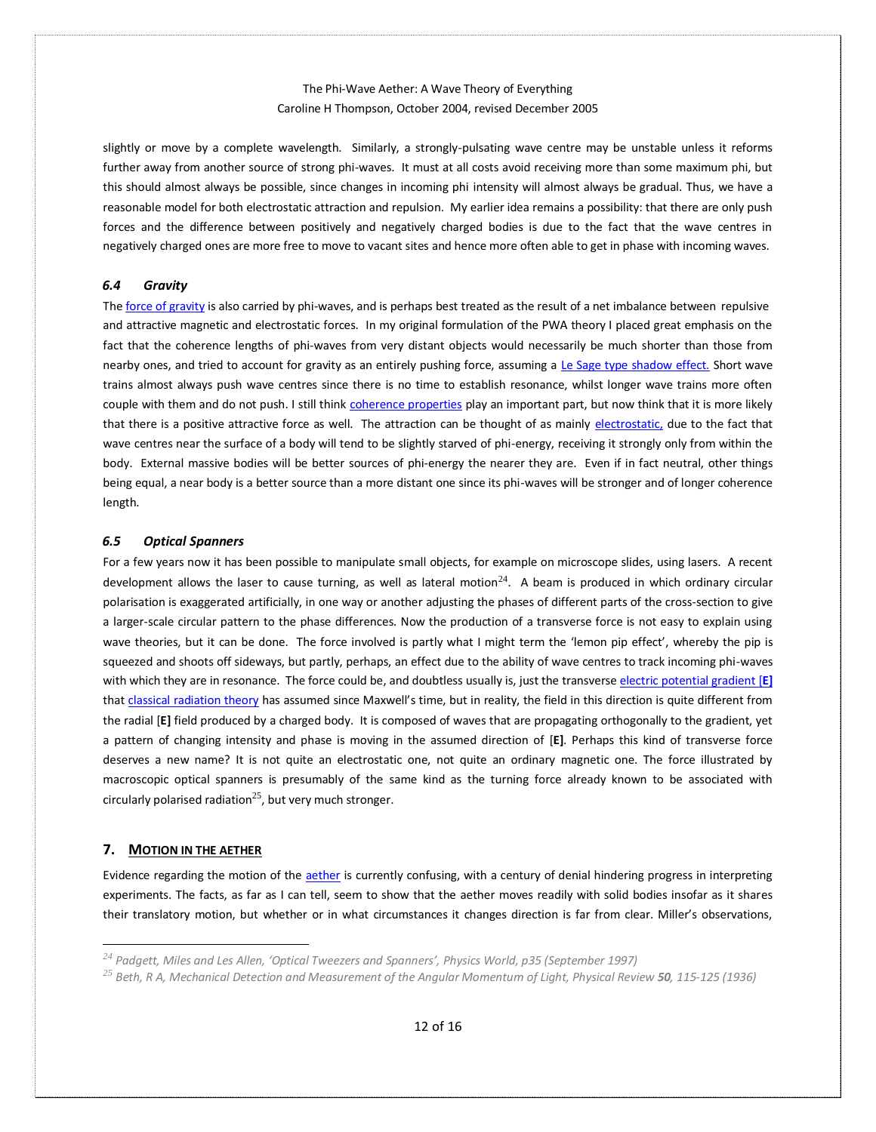slightly or move by a complete wavelength. Similarly, a strongly-pulsating wave centre may be unstable unless it reforms further away from another source of strong phi-waves. It must at all costs avoid receiving more than some maximum phi, but this should almost always be possible, since changes in incoming phi intensity will almost always be gradual. Thus, we have a reasonable model for both electrostatic attraction and repulsion. My earlier idea remains a possibility: that there are only push forces and the difference between positively and negatively charged bodies is due to the fact that the wave centres in negatively charged ones are more free to move to vacant sites and hence more often able to get in phase with incoming waves.

#### <span id="page-11-0"></span>*6.4 Gravity*

Th[e force of gravity](http://www.mysearch.org.uk/websiteX/html/21%20Gravity.htm) is also carried by phi-waves, and is perhaps best treated as the result of a net imbalance between repulsive and attractive magnetic and electrostatic forces. In my original formulation of the PWA theory I placed great emphasis on the fact that the coherence lengths of phi-waves from very distant objects would necessarily be much shorter than those from nearby ones, and tried to account for gravity as an entirely pushing force, assuming a [Le Sage type shadow effect.](https://en.wikipedia.org/wiki/Le_Sage) Short wave trains almost always push wave centres since there is no time to establish resonance, whilst longer wave trains more often couple with them and do not push. I still thin[k coherence properties](https://en.wikipedia.org/wiki/Coherence_(physics)) play an important part, but now think that it is more likely that there is a positive attractive force as well. The attraction can be thought of as mainly [electrostatic,](http://www.mysearch.org.uk/websiteX/html/14%20Electrostatic%20fields_.htm) due to the fact that wave centres near the surface of a body will tend to be slightly starved of phi-energy, receiving it strongly only from within the body. External massive bodies will be better sources of phi-energy the nearer they are. Even if in fact neutral, other things being equal, a near body is a better source than a more distant one since its phi-waves will be stronger and of longer coherence length.

#### <span id="page-11-1"></span>*6.5 Optical Spanners*

For a few years now it has been possible to manipulate small objects, for example on microscope slides, using lasers. A recent development allows the laser to cause turning, as well as lateral motion $^{24}$ . A beam is produced in which ordinary circular polarisation is exaggerated artificially, in one way or another adjusting the phases of different parts of the cross-section to give a larger-scale circular pattern to the phase differences. Now the production of a transverse force is not easy to explain using wave theories, but it can be done. The force involved is partly what I might term the 'lemon pip effect', whereby the pip is squeezed and shoots off sideways, but partly, perhaps, an effect due to the ability of wave centres to track incoming phi-waves with which they are in resonance. The force could be, and doubtless usually is, just the transvers[e electric potential gradient \[](https://en.wikipedia.org/wiki/Potential_gradient)**E]** tha[t classical radiation theory](https://en.wikipedia.org/wiki/Classical_electromagnetism) has assumed since Maxwell's time, but in reality, the field in this direction is quite different from the radial [**E]** field produced by a charged body. It is composed of waves that are propagating orthogonally to the gradient, yet a pattern of changing intensity and phase is moving in the assumed direction of [**E]**. Perhaps this kind of transverse force deserves a new name? It is not quite an electrostatic one, not quite an ordinary magnetic one. The force illustrated by macroscopic optical spanners is presumably of the same kind as the turning force already known to be associated with circularly polarised radiation<sup>25</sup>, but very much stronger.

## <span id="page-11-2"></span>**7. MOTION IN THE AETHER**

Evidence regarding the motion of th[e aether](http://www.mysearch.org.uk/websiteX/html/6%20The%20Eather.htm) is currently confusing, with a century of denial hindering progress in interpreting experiments. The facts, as far as I can tell, seem to show that the aether moves readily with solid bodies insofar as it shares their translatory motion, but whether or in what circumstances it changes direction is far from clear. Miller's observations,

*<sup>24</sup> Padgett, Miles and Les Allen, 'Optical Tweezers and Spanners', Physics World, p35 (September 1997)* 

*<sup>25</sup> Beth, R A, Mechanical Detection and Measurement of the Angular Momentum of Light, Physical Review 50, 115-125 (1936)*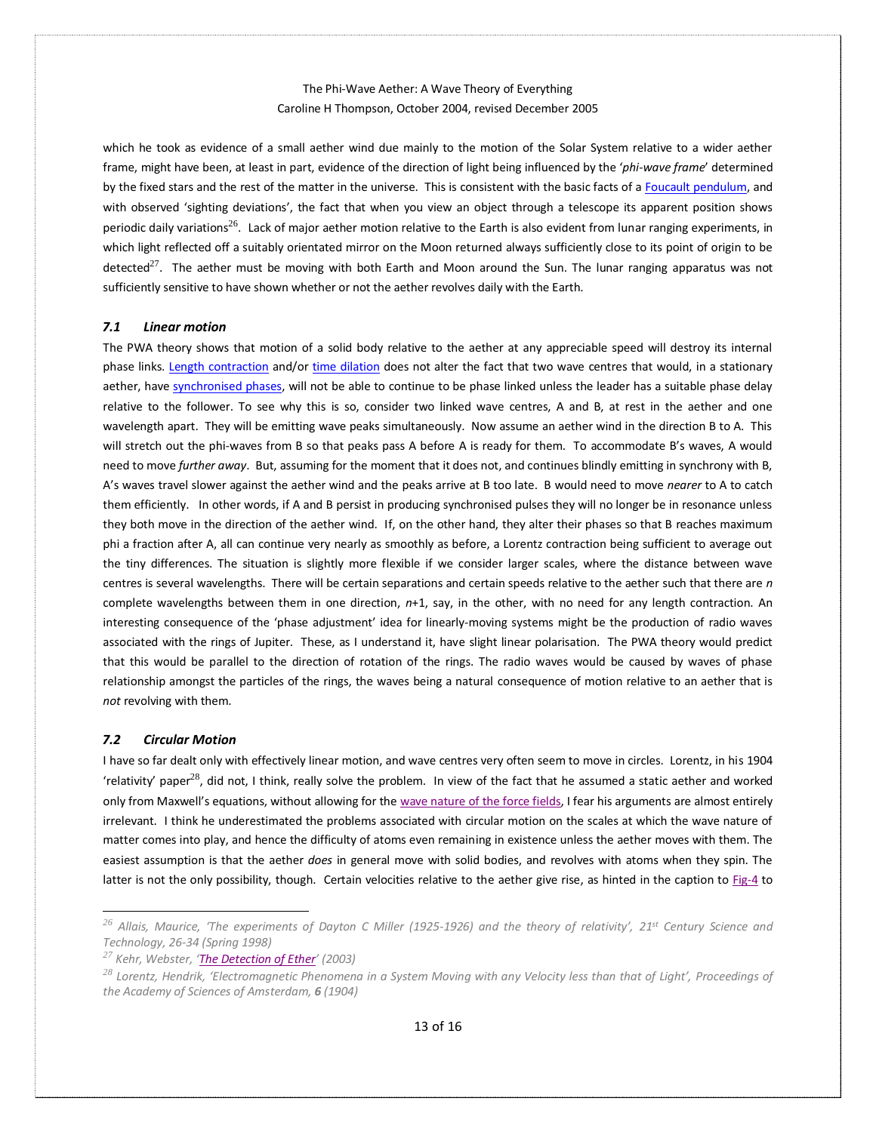which he took as evidence of a small aether wind due mainly to the motion of the Solar System relative to a wider aether frame, might have been, at least in part, evidence of the direction of light being influenced by the '*phi-wave frame*' determined by the fixed stars and the rest of the matter in the universe. This is consistent with the basic facts of a [Foucault pendulum,](https://en.wikipedia.org/wiki/Foucault_pendulum) and with observed 'sighting deviations', the fact that when you view an object through a telescope its apparent position shows periodic daily variations<sup>26</sup>. Lack of major aether motion relative to the Earth is also evident from lunar ranging experiments, in which light reflected off a suitably orientated mirror on the Moon returned always sufficiently close to its point of origin to be detected<sup>27</sup>. The aether must be moving with both Earth and Moon around the Sun. The lunar ranging apparatus was not sufficiently sensitive to have shown whether or not the aether revolves daily with the Earth.

#### <span id="page-12-0"></span>*7.1 Linear motion*

The PWA theory shows that motion of a solid body relative to the aether at any appreciable speed will destroy its internal phase links. [Length contraction](https://en.wikipedia.org/wiki/Length_contraction) and/or [time dilation](https://en.wikipedia.org/wiki/Time_dilation) does not alter the fact that two wave centres that would, in a stationary aether, have [synchronised phases,](http://www.mysearch.org.uk/websiteX/html/12%20The%20Electron%20Phase%20Shift.htm) will not be able to continue to be phase linked unless the leader has a suitable phase delay relative to the follower. To see why this is so, consider two linked wave centres, A and B, at rest in the aether and one wavelength apart. They will be emitting wave peaks simultaneously. Now assume an aether wind in the direction B to A. This will stretch out the phi-waves from B so that peaks pass A before A is ready for them. To accommodate B's waves, A would need to move *further away*. But, assuming for the moment that it does not, and continues blindly emitting in synchrony with B, A's waves travel slower against the aether wind and the peaks arrive at B too late. B would need to move *nearer* to A to catch them efficiently. In other words, if A and B persist in producing synchronised pulses they will no longer be in resonance unless they both move in the direction of the aether wind. If, on the other hand, they alter their phases so that B reaches maximum phi a fraction after A, all can continue very nearly as smoothly as before, a Lorentz contraction being sufficient to average out the tiny differences. The situation is slightly more flexible if we consider larger scales, where the distance between wave centres is several wavelengths. There will be certain separations and certain speeds relative to the aether such that there are *n* complete wavelengths between them in one direction, *n*+1, say, in the other, with no need for any length contraction. An interesting consequence of the 'phase adjustment' idea for linearly-moving systems might be the production of radio waves associated with the rings of Jupiter. These, as I understand it, have slight linear polarisation. The PWA theory would predict that this would be parallel to the direction of rotation of the rings. The radio waves would be caused by waves of phase relationship amongst the particles of the rings, the waves being a natural consequence of motion relative to an aether that is *not* revolving with them.

### <span id="page-12-1"></span>*7.2 Circular Motion*

I have so far dealt only with effectively linear motion, and wave centres very often seem to move in circles. Lorentz, in his 1904 'relativity' paper<sup>28</sup>, did not, I think, really solve the problem. In view of the fact that he assumed a static aether and worked only from Maxwell's equations, without allowing for the wave nature of [the force fields,](http://www.mysearch.org.uk/websiteX/html/18%20Fields%20of%20Force_.htm) I fear his arguments are almost entirely irrelevant. I think he underestimated the problems associated with circular motion on the scales at which the wave nature of matter comes into play, and hence the difficulty of atoms even remaining in existence unless the aether moves with them. The easiest assumption is that the aether *does* in general move with solid bodies, and revolves with atoms when they spin. The latter is not the only possibility, though. Certain velocities relative to the aether give rise, as hinted in the caption to [Fig-4](#page-6-1) to

*<sup>26</sup> Allais, Maurice, 'The experiments of Dayton C Miller (1925-1926) and the theory of relativity', 21st Century Science and Technology, 26-34 (Spring 1998)* 

*<sup>27</sup> Kehr, Webster, '[The Detection of Ether](http://www.mysearch.org.uk/website3/pdf/Detection.pdf)' (2003)* 

<sup>&</sup>lt;sup>28</sup> Lorentz, Hendrik, 'Electromagnetic Phenomena in a System Moving with any Velocity less than that of Light', Proceedings of *the Academy of Sciences of Amsterdam, 6 (1904)*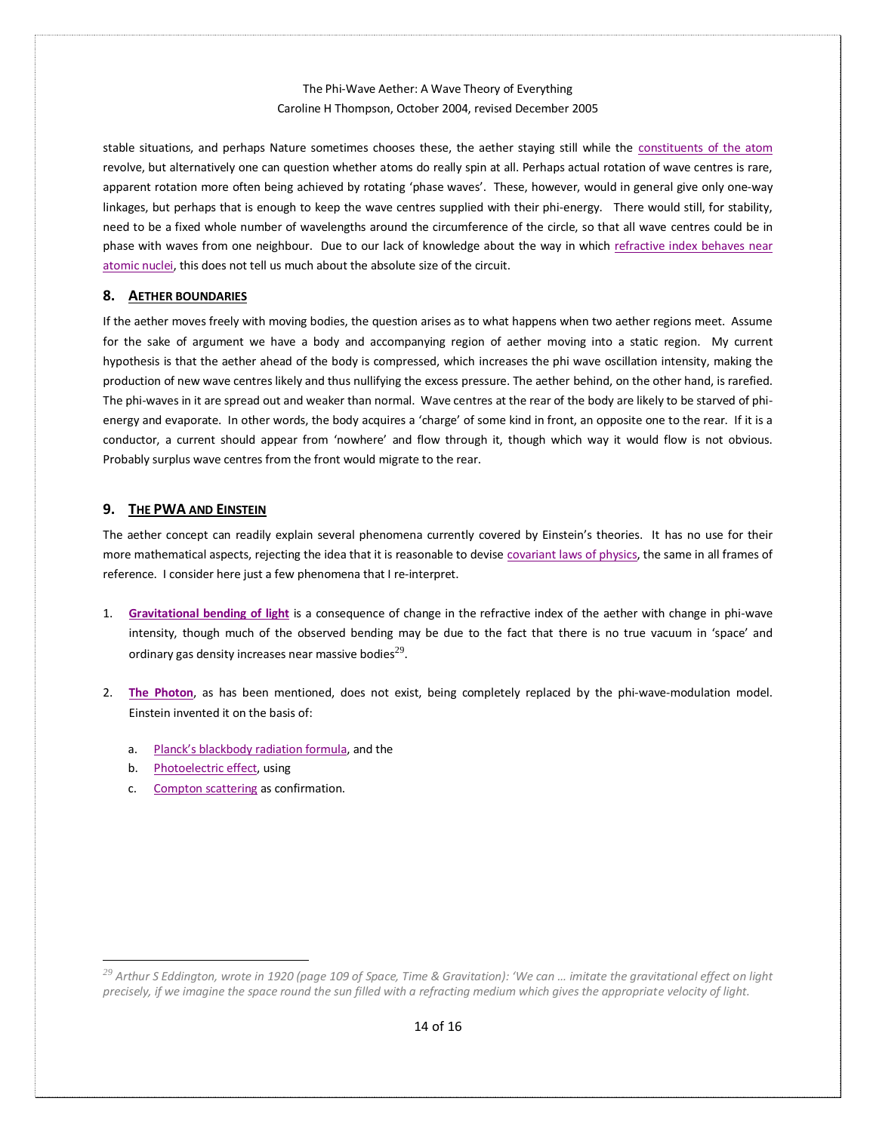stable situations, and perhaps Nature sometimes chooses these, the aether staying still while the [constituents of the atom](http://www.mysearch.org.uk/websiteX/html/25%20The%20Atom.htm) revolve, but alternatively one can question whether atoms do really spin at all. Perhaps actual rotation of wave centres is rare, apparent rotation more often being achieved by rotating 'phase waves'. These, however, would in general give only one-way linkages, but perhaps that is enough to keep the wave centres supplied with their phi-energy. There would still, for stability, need to be a fixed whole number of wavelengths around the circumference of the circle, so that all wave centres could be in phase with waves from one neighbour. Due to our lack of knowledge about the way in which [refractive index behaves near](http://www.mysearch.org.uk/website3/pdf/2006.01680.pdf)  [atomic nuclei,](http://www.mysearch.org.uk/website3/pdf/2006.01680.pdf) this does not tell us much about the absolute size of the circuit.

### <span id="page-13-0"></span>**8. AETHER BOUNDARIES**

If the aether moves freely with moving bodies, the question arises as to what happens when two aether regions meet. Assume for the sake of argument we have a body and accompanying region of aether moving into a static region. My current hypothesis is that the aether ahead of the body is compressed, which increases the phi wave oscillation intensity, making the production of new wave centres likely and thus nullifying the excess pressure. The aether behind, on the other hand, is rarefied. The phi-waves in it are spread out and weaker than normal. Wave centres at the rear of the body are likely to be starved of phienergy and evaporate. In other words, the body acquires a 'charge' of some kind in front, an opposite one to the rear. If it is a conductor, a current should appear from 'nowhere' and flow through it, though which way it would flow is not obvious. Probably surplus wave centres from the front would migrate to the rear.

### <span id="page-13-1"></span>**9. THE PWA AND EINSTEIN**

The aether concept can readily explain several phenomena currently covered by Einstein's theories. It has no use for their more mathematical aspects, rejecting the idea that it is reasonable to devis[e covariant laws of physics,](https://en.wikipedia.org/wiki/General_covariance) the same in all frames of reference. I consider here just a few phenomena that I re-interpret.

- 1. **[Gravitational bending of light](http://www.mysearch.org.uk/website3/pdf/0409124.pdf)** is a consequence of change in the refractive index of the aether with change in phi-wave intensity, though much of the observed bending may be due to the fact that there is no true vacuum in 'space' and ordinary gas density increases near massive bodies $^{29}$ .
- 2. **[The Photon](http://www.mysearch.org.uk/websiteX/html/22%20The%20Light.htm)**, as has been mentioned, does not exist, being completely replaced by the phi-wave-modulation model. Einstein invented it on the basis of:
	- a. [Planck's blackbody radiation formula](https://en.wikipedia.org/wiki/Planck), and the
	- b. [Photoelectric effect,](https://en.wikipedia.org/wiki/Photoelectric_effect) using
	- c. [Compton scattering](https://en.wikipedia.org/wiki/Compton_scattering) as confirmation.

*<sup>29</sup> Arthur S Eddington, wrote in 1920 (page 109 of Space, Time & Gravitation): 'We can … imitate the gravitational effect on light precisely, if we imagine the space round the sun filled with a refracting medium which gives the appropriate velocity of light.*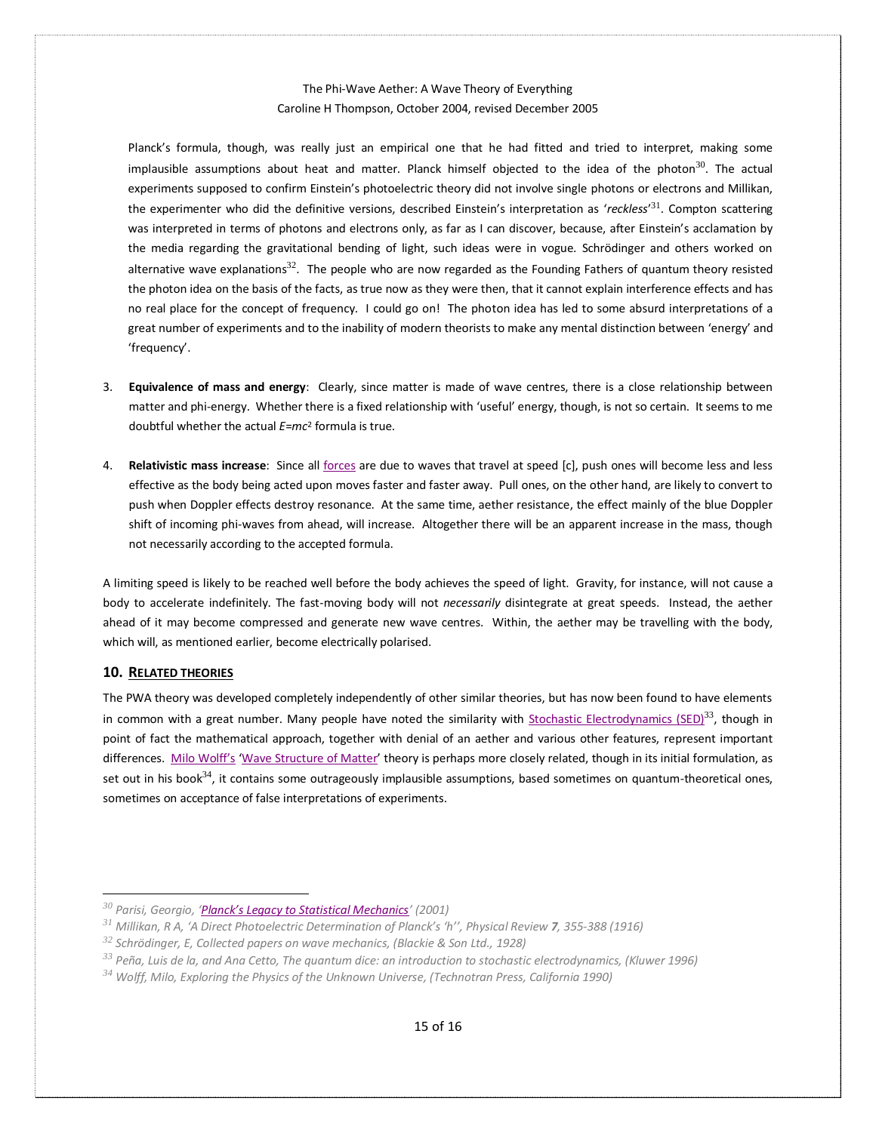Planck's formula, though, was really just an empirical one that he had fitted and tried to interpret, making some implausible assumptions about heat and matter. Planck himself objected to the idea of the photon<sup>30</sup>. The actual experiments supposed to confirm Einstein's photoelectric theory did not involve single photons or electrons and Millikan, the experimenter who did the definitive versions, described Einstein's interpretation as '*reckless*' <sup>31</sup>. Compton scattering was interpreted in terms of photons and electrons only, as far as I can discover, because, after Einstein's acclamation by the media regarding the gravitational bending of light, such ideas were in vogue. Schrödinger and others worked on alternative wave explanations<sup>32</sup>. The people who are now regarded as the Founding Fathers of quantum theory resisted the photon idea on the basis of the facts, as true now as they were then, that it cannot explain interference effects and has no real place for the concept of frequency. I could go on! The photon idea has led to some absurd interpretations of a great number of experiments and to the inability of modern theorists to make any mental distinction between 'energy' and 'frequency'.

- 3. **Equivalence of mass and energy**: Clearly, since matter is made of wave centres, there is a close relationship between matter and phi-energy. Whether there is a fixed relationship with 'useful' energy, though, is not so certain. It seems to me doubtful whether the actual *E*=*mc*<sup>2</sup> formula is true.
- 4. **Relativistic mass increase**: Since all [forces](http://www.mysearch.org.uk/websiteX/html/16%20Active%20and%20reactive%20mass.htm) are due to waves that travel at speed [c], push ones will become less and less effective as the body being acted upon moves faster and faster away. Pull ones, on the other hand, are likely to convert to push when Doppler effects destroy resonance. At the same time, aether resistance, the effect mainly of the blue Doppler shift of incoming phi-waves from ahead, will increase. Altogether there will be an apparent increase in the mass, though not necessarily according to the accepted formula.

A limiting speed is likely to be reached well before the body achieves the speed of light. Gravity, for instance, will not cause a body to accelerate indefinitely. The fast-moving body will not *necessarily* disintegrate at great speeds. Instead, the aether ahead of it may become compressed and generate new wave centres. Within, the aether may be travelling with the body, which will, as mentioned earlier, become electrically polarised.

## <span id="page-14-0"></span>**10. RELATED THEORIES**

The PWA theory was developed completely independently of other similar theories, but has now been found to have elements in common with a great number. Many people have noted the similarity with [Stochastic Electrodynamics \(SED\)](https://en.wikipedia.org/wiki/Stochastic_electrodynamics) $^{33}$ , though in point of fact the mathematical approach, together with denial of an aether and various other features, represent important differences. [Milo Wolff's](http://www.mysearch.org.uk/website3/html/3.Sources.html#Milo_Wolff_(1990)) '[Wave Structure of Matter](http://www.mysearch.org.uk/website3/html/33.WSM.html)' theory is perhaps more closely related, though in its initial formulation, as set out in his book $^{34}$ , it contains some outrageously implausible assumptions, based sometimes on quantum-theoretical ones, sometimes on acceptance of false interpretations of experiments.

*<sup>30</sup> Parisi, Georgio, ['Planck's Legacy to Statistical Mechanics'](https://arxiv.org/abs/cond-mat/0101293) (2001)* 

*<sup>31</sup> Millikan, R A, 'A Direct Photoelectric Determination of Planck's 'h'', Physical Review 7, 355-388 (1916)* 

*<sup>32</sup> Schrödinger, E, Collected papers on wave mechanics, (Blackie & Son Ltd., 1928)* 

*<sup>33</sup> Peña, Luis de la, and Ana Cetto, The quantum dice: an introduction to stochastic electrodynamics, (Kluwer 1996)* 

*<sup>34</sup> Wolff, Milo, Exploring the Physics of the Unknown Universe, (Technotran Press, California 1990)*